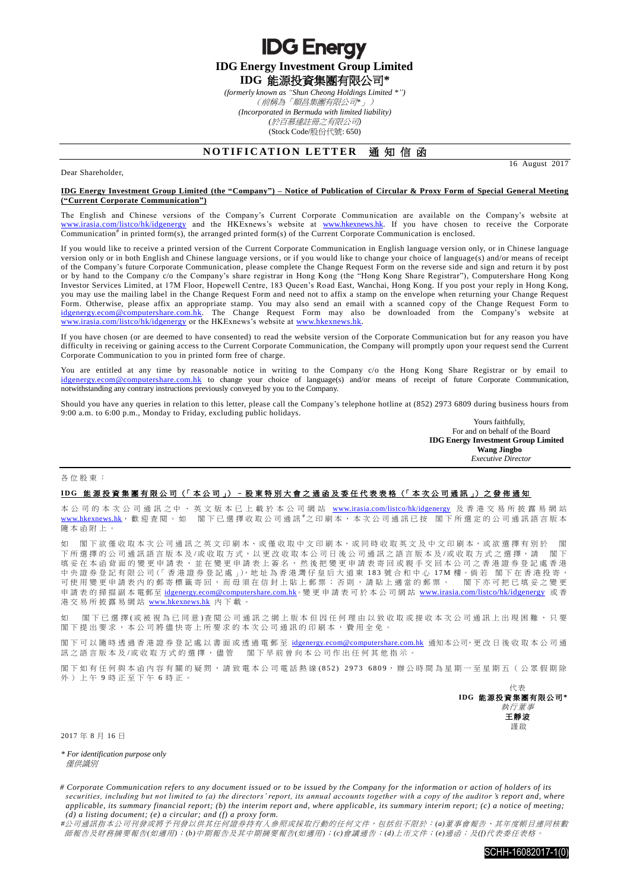**IDG Energy Investment Group Limited IDG** 能源投資集團有限公司**\*** *(formerly known as "Shun Cheong Holdings Limited \*")*

**IDG Energy** 

(前稱為「順昌集團有限公司*\**」) *(Incorporated in Bermuda with limited liability) (*於百慕達註冊之有限公司*)* (Stock Code/股份代號: 650)

## **NOTIFICATION LETTER 通知信函**

16 August 2017

## **IDG Energy Investment Group Limited (the "Company") – Notice of Publication of Circular & Proxy Form of Special General Meeting ("Current Corporate Communication")**

The English and Chinese versions of the Company's Current Corporate Communication are available on the Company's website at [www.irasia.com/listco/hk/idgenergy](http://www.irasia.com/listco/hk/idgenergy) and the HKExnews's website at [www.hkexnews.hk.](http://www.hkexnews.hk/) If you have chosen to receive the Corporate Communication<sup>#</sup> in printed form(s), the arranged printed form(s) of the Current Corporate Communication is enclosed.

If you would like to receive a printed version of the Current Corporate Communication in English language version only, or in Chinese language version only or in both English and Chinese language versions, or if you would like to change your choice of language(s) and/or means of receipt of the Company's future Corporate Communication, please complete the Change Request Form on the reverse side and sign and return it by post or by hand to the Company c/o the Company's share registrar in Hong Kong (the "Hong Kong Share Registrar"), Computershare Hong Kong Investor Services Limited, at 17M Floor, Hopewell Centre, 183 Queen's Road East, Wanchai, Hong Kong. If you post your reply in Hong Kong, you may use the mailing label in the Change Request Form and need not to affix a stamp on the envelope when returning your Change Request Form. Otherwise, please affix an appropriate stamp. You may also send an email with a scanned copy of the Change Request Form to [idgenergy.ecom@computershare.com.hk.](mailto:idgenergy.ecom@computershare.com.hk) The Change Request Form may also be downloaded from the Company's website at [www.irasia.com/listco/hk/idgenergy](http://www.irasia.com/listco/hk/idgenergy) or the HKExnews's website at [www.hkexnews.hk.](http://www.hkexnews.hk/)

If you have chosen (or are deemed to have consented) to read the website version of the Corporate Communication but for any reason you have difficulty in receiving or gaining access to the Current Corporate Communication, the Company will promptly upon your request send the Current Corporate Communication to you in printed form free of charge.

You are entitled at any time by reasonable notice in writing to the Company c/o the Hong Kong Share Registrar or by email to [idgenergy.ecom@computershare.com.hk](mailto:idgenergy.ecom@computershare.com.hk) to change your choice of language(s) and/or means of receipt of future Corporate Communication, notwithstanding any contrary instructions previously conveyed by you to the Company.

Should you have any queries in relation to this letter, please call the Company's telephone hotline at (852) 2973 6809 during business hours from 9:00 a.m. to 6:00 p.m., Monday to Friday, excluding public holidays.

> Yours faithfully, For and on behalf of the Board **IDG Energy Investment Group Limited Wang Jingbo** *Executive Director*

各位股東 :

Dear Shareholder,

## IDG 能源投資集團有限公司 (「本公司」) - 股東特別大會之通函及委任代表表格 (「本次公司通訊」) 之發佈通知

本 公 司 的 本 次 公 司 通 訊 之 中 、 英 文 版 本 已 上 載 於 本 公 司 網 站 [www.irasia.com/listco/hk/idgenergy](http://www.irasia.com/listco/hk/idgenergy) 及 香 港 交 易 所 披 露 易 網 站 [www.hkexnews.hk](http://www.hkexnews.hk/), 歡 迎 查 閱 。 如 閣 下已 選 擇 收 取 公 司 通 訊 <sup>#</sup>之 印 刷 本 , 本 次 公 司 通 訊 已 按 閣 下 所 選 定 的 公 司 通 訊 語 言 版 本 隨本函附上 。

如 閣下欲僅收取本次公司通訊之英文印刷本、或僅收取中文印刷本,或同時收取英文及中文印刷本,或欲選擇有別於 閣 下所選擇的公司通訊語言版本及/或收取方式,以更改收取本公司日後公司通訊之語言版本及/或收取方式之選擇,請 閣下 填妥在本函背面的變更申請表,並在變更申請表上簽名,然後把變更申請表寄回或親手交回本公司之香港證券登記處香港 中央證券登記有限公司(「香港證券登記處」),地址為香港灣仔皇后大道東 183 號合和中心 17M 樓。倘若 閣下在香港投寄, 可使用變更申請表內的郵寄標籤寄回,而毋須在信封上貼上郵票;否則,請貼上適當的郵票。 閣下亦可把已填妥之變更 申請表的掃描副本電郵至 idgenergy.ecom@computershare.com.hk。變更申請表可於本公司網站 [www.irasia.com/listco/hk/idgenergy](http://www.irasia.com/listco/hk/idgenergy) 或香 港交易所披露易網站 [www.hkexnews.hk](http://www.hkexnews.hk/) 內 下載。

如 閣下已 選 擇 (或 被 視 為 已 同 意 ) 查 閱 公 司 通 訊 之 網 上 版 本 但 因 任 何 理 由 以 致 收 取 或 接 收 本 次 公 司 通 訊 上 出 現 困 難 ,只 要 閣下提出要求,本公司將儘快寄上所要求的本次公司通訊的印刷本,費用全免。

閣下可以隨時透過香港證券登記處以書面或透過電郵至 idgenergy.ecom@computershare.com.hk 通知本公司,更改日後收取本公司通 訊之語言版本及/或收取方式的選擇, 儘管 閣下早前曾向本公司作出任何其他指示。

閣下如有任何與本函內容有關的疑問,請致電本公司電話熱線(852) 2973 6809,辦公時間為星期一至星期五(公眾假期除 外)上午 9 時正至下午 6 時正。

代表 **IDG** 能源投資集團有限公司 **\*** 執行董事 王靜波 謹啟

2017 年 8 月 16 日

*\* For identification purpose only* 僅供識別

*# Corporate Communication refers to any document issued or to be issued by the Company for the information o r action of holders of its securities, including but not limited to (a) the directors' report, its annual accounts together with a copy of the auditor 's report and, where applicable, its summary financial report; (b) the interim report and, where applicabl e, its summary interim report; (c) a notice of meeting; (d) a listing document; (e) a circular; and (f) a proxy form.*

*#*公司通訊指本公司刊發或將予刊發以供其任何證券持有人參照或採取行動的任何文件,包括但不限於:*(a)*董事會報告、其年度帳目連同核數 師報告及財務摘要報告*(*如適用*)*;*(b)*中期報告及其中期摘要報告*(*如適用*)*;*(c)*會議通告;*(d)*上市文件;*(e)*通函;及*(f)*代表委任表格。